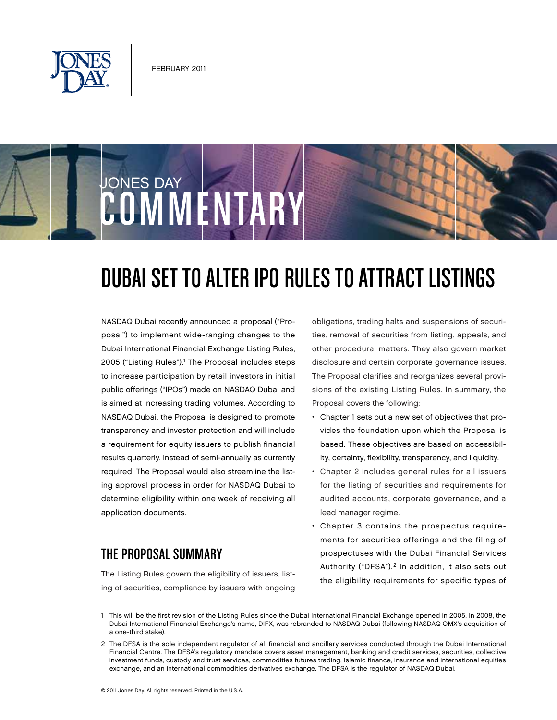



# DUBAI SET TO ALTER IPO RULES TO ATTRACT LISTINGS

NASDAQ Dubai recently announced a proposal ("Proposal") to implement wide-ranging changes to the Dubai International Financial Exchange Listing Rules, 2005 ("Listing Rules").<sup>1</sup> The Proposal includes steps to increase participation by retail investors in initial public offerings ("IPOs") made on NASDAQ Dubai and is aimed at increasing trading volumes. According to NASDAQ Dubai, the Proposal is designed to promote transparency and investor protection and will include a requirement for equity issuers to publish financial results quarterly, instead of semi-annually as currently required. The Proposal would also streamline the listing approval process in order for NASDAQ Dubai to determine eligibility within one week of receiving all application documents.

### The Proposal Summary

The Listing Rules govern the eligibility of issuers, listing of securities, compliance by issuers with ongoing obligations, trading halts and suspensions of securities, removal of securities from listing, appeals, and other procedural matters. They also govern market disclosure and certain corporate governance issues. The Proposal clarifies and reorganizes several provisions of the existing Listing Rules. In summary, the Proposal covers the following:

- Chapter 1 sets out a new set of objectives that provides the foundation upon which the Proposal is based. These objectives are based on accessibility, certainty, flexibility, transparency, and liquidity.
- Chapter 2 includes general rules for all issuers for the listing of securities and requirements for audited accounts, corporate governance, and a lead manager regime.
- Chapter 3 contains the prospectus requirements for securities offerings and the filing of prospectuses with the Dubai Financial Services Authority ("DFSA").<sup>2</sup> In addition, it also sets out the eligibility requirements for specific types of

<sup>1</sup> This will be the first revision of the Listing Rules since the Dubai International Financial Exchange opened in 2005. In 2008, the Dubai International Financial Exchange's name, DIFX, was rebranded to NASDAQ Dubai (following NASDAQ OMX's acquisition of a one-third stake).

<sup>2</sup> The DFSA is the sole independent regulator of all financial and ancillary services conducted through the Dubai International Financial Centre. The DFSA's regulatory mandate covers asset management, banking and credit services, securities, collective investment funds, custody and trust services, commodities futures trading, Islamic finance, insurance and international equities exchange, and an international commodities derivatives exchange. The DFSA is the regulator of NASDAQ Dubai.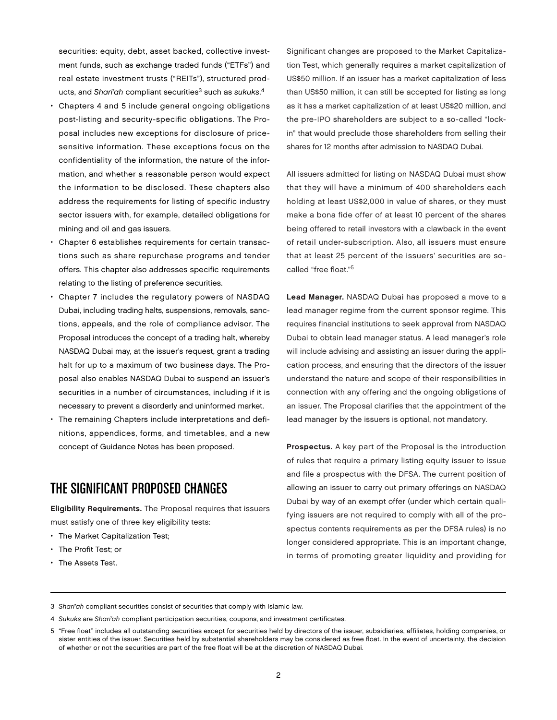securities: equity, debt, asset backed, collective investment funds, such as exchange traded funds ("ETFs") and real estate investment trusts ("REITs"), structured products, and Shari'ah compliant securities<sup>3</sup> such as sukuks.<sup>4</sup>

- Chapters 4 and 5 include general ongoing obligations post-listing and security-specific obligations. The Proposal includes new exceptions for disclosure of pricesensitive information. These exceptions focus on the confidentiality of the information, the nature of the information, and whether a reasonable person would expect the information to be disclosed. These chapters also address the requirements for listing of specific industry sector issuers with, for example, detailed obligations for mining and oil and gas issuers.
- Chapter 6 establishes requirements for certain transactions such as share repurchase programs and tender offers. This chapter also addresses specific requirements relating to the listing of preference securities.
- Chapter 7 includes the regulatory powers of NASDAQ Dubai, including trading halts, suspensions, removals, sanctions, appeals, and the role of compliance advisor. The Proposal introduces the concept of a trading halt, whereby NASDAQ Dubai may, at the issuer's request, grant a trading halt for up to a maximum of two business days. The Proposal also enables NASDAQ Dubai to suspend an issuer's securities in a number of circumstances, including if it is necessary to prevent a disorderly and uninformed market.
- The remaining Chapters include interpretations and definitions, appendices, forms, and timetables, and a new concept of Guidance Notes has been proposed.

## The Significant Proposed Changes

Eligibility Requirements. The Proposal requires that issuers must satisfy one of three key eligibility tests:

- The Market Capitalization Test;
- The Profit Test; or
- The Assets Test.

Significant changes are proposed to the Market Capitalization Test, which generally requires a market capitalization of US\$50 million. If an issuer has a market capitalization of less than US\$50 million, it can still be accepted for listing as long as it has a market capitalization of at least US\$20 million, and the pre-IPO shareholders are subject to a so-called "lockin" that would preclude those shareholders from selling their shares for 12 months after admission to NASDAQ Dubai.

All issuers admitted for listing on NASDAQ Dubai must show that they will have a minimum of 400 shareholders each holding at least US\$2,000 in value of shares, or they must make a bona fide offer of at least 10 percent of the shares being offered to retail investors with a clawback in the event of retail under-subscription. Also, all issuers must ensure that at least 25 percent of the issuers' securities are socalled "free float."5

Lead Manager. NASDAQ Dubai has proposed a move to a lead manager regime from the current sponsor regime. This requires financial institutions to seek approval from NASDAQ Dubai to obtain lead manager status. A lead manager's role will include advising and assisting an issuer during the application process, and ensuring that the directors of the issuer understand the nature and scope of their responsibilities in connection with any offering and the ongoing obligations of an issuer. The Proposal clarifies that the appointment of the lead manager by the issuers is optional, not mandatory.

Prospectus. A key part of the Proposal is the introduction of rules that require a primary listing equity issuer to issue and file a prospectus with the DFSA. The current position of allowing an issuer to carry out primary offerings on NASDAQ Dubai by way of an exempt offer (under which certain qualifying issuers are not required to comply with all of the prospectus contents requirements as per the DFSA rules) is no longer considered appropriate. This is an important change, in terms of promoting greater liquidity and providing for

- 3 Shari'ah compliant securities consist of securities that comply with Islamic law.
- 4 Sukuks are Shari'ah compliant participation securities, coupons, and investment certificates.

<sup>5</sup> "Free float" includes all outstanding securities except for securities held by directors of the issuer, subsidiaries, affiliates, holding companies, or sister entities of the issuer. Securities held by substantial shareholders may be considered as free float. In the event of uncertainty, the decision of whether or not the securities are part of the free float will be at the discretion of NASDAQ Dubai.